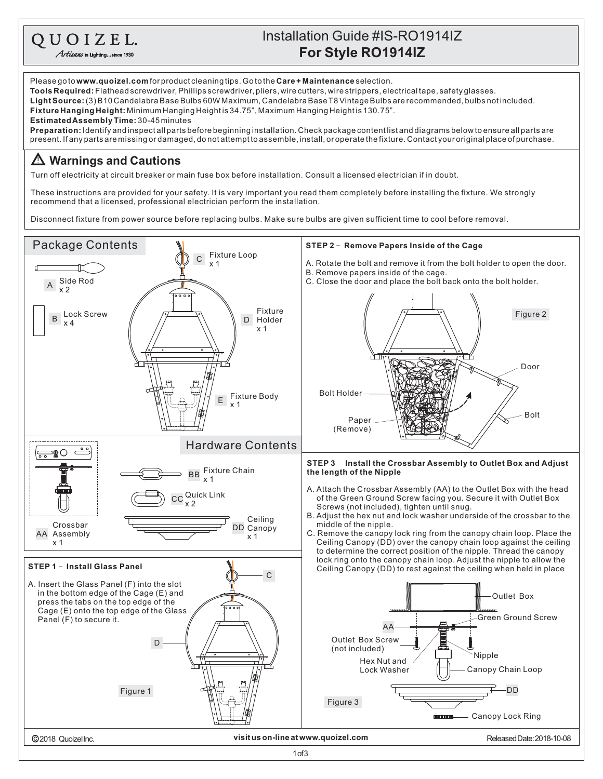## QUOIZEL.

Artisans in Lighting...

## **For Style RO1914IZ** Installation Guide #IS-RO1914IZ

Please go to **www.quoizel.com** for product cleaning tips. Go to the **Care + Maintenance** selection.

**Tools Required:** Flathead screwdriver, Phillips screwdriver, pliers, wire cutters, wire strippers, electrical tape, safety glasses.

(3)B10CandelabraBaseBulbs60WMaximum,CandelabraBaseT8VintageBulbsarerecommended,bulbsnotincluded. **LightSource:**

**Fixture Hanging Height:** Minimum Hanging Heightis 34.75", Maximum Hanging Heightis 130.75".

30-45minutes **EstimatedAssemblyTime:**

**Preparation:** Identify and inspectall parts before beginning installation. Check package content list and diagrams below to ensure all parts are present.Ifanypartsaremissingordamaged,donotattempttoassemble,install,oroperatethefixture.Contactyouroriginalplaceofpurchase.

## **Warnings and Cautions**

Turn off electricity at circuit breaker or main fuse box before installation. Consult a licensed electrician if in doubt.

These instructions are provided for your safety. It is very important you read them completely before installing the fixture. We strongly recommend that a licensed, professional electrician perform the installation.

Disconnect fixture from power source before replacing bulbs. Make sure bulbs are given sufficient time to cool before removal.

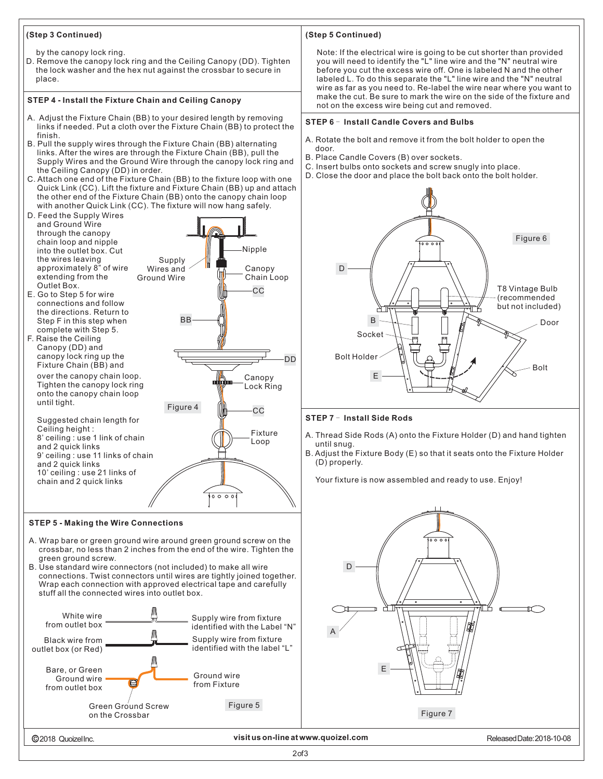